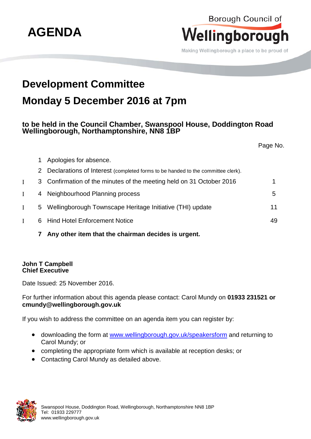

Borough Council of

**7 Any other item that the chairman decides is urgent.**

## **John T Campbell Chief Executive**

Date Issued: 25 November 2016.

For further information about this agenda please contact: Carol Mundy on **01933 231521 or cmundy@wellingborough.gov.uk**

If you wish to address the committee on an agenda item you can register by:

- downloading the form at [www.wellingborough.gov.uk/speakersform](http://www.wellingborough.gov.uk/speakersform) and returning to Carol Mundy; or
- completing the appropriate form which is available at reception desks; or
- Contacting Carol Mundy as detailed above.